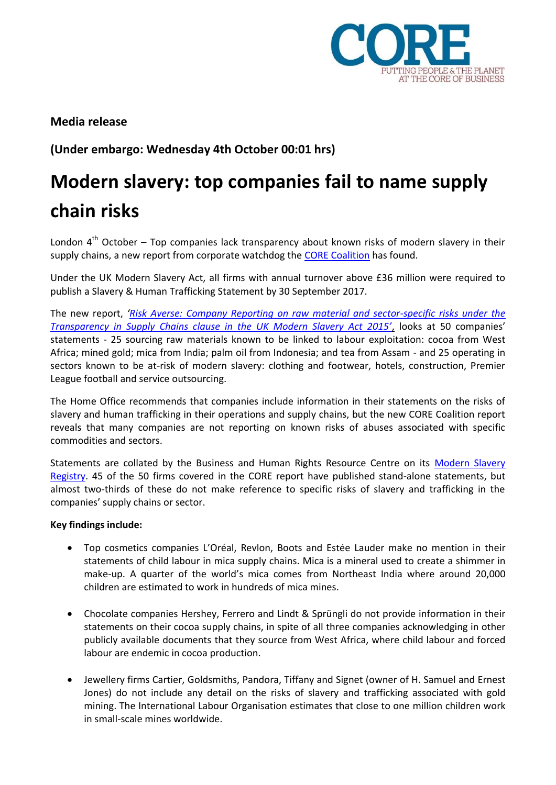

**Media release**

**(Under embargo: Wednesday 4th October 00:01 hrs)**

# **Modern slavery: top companies fail to name supply chain risks**

London  $4<sup>th</sup>$  October – Top companies lack transparency about known risks of modern slavery in their supply chains, a new report from corporate watchdog the [CORE Coalition](http://corporate-responsibility.org/) has found.

Under the UK Modern Slavery Act, all firms with annual turnover above £36 million were required to publish a Slavery & Human Trafficking Statement by 30 September 2017.

The new report, *'[Risk Averse: Company Reporting on raw material and sector-specific risks under the](http://corporate-responsibility.org/wp-content/uploads/2017/10/171003_Risk-Averse-FINAL-1.pdf)  [Transparency in Supply Chains clause in the UK Modern Slavery Act 2015'](http://corporate-responsibility.org/wp-content/uploads/2017/10/171003_Risk-Averse-FINAL-1.pdf)*, looks at 50 companies' statements - 25 sourcing raw materials known to be linked to labour exploitation: cocoa from West Africa; mined gold; mica from India; palm oil from Indonesia; and tea from Assam - and 25 operating in sectors known to be at-risk of modern slavery: clothing and footwear, hotels, construction, Premier League football and service outsourcing.

The Home Office recommends that companies include information in their statements on the risks of slavery and human trafficking in their operations and supply chains, but the new CORE Coalition report reveals that many companies are not reporting on known risks of abuses associated with specific commodities and sectors.

Statements are collated by the Business and Human Rights Resource Centre on its [Modern Slavery](http://www.modernslaveryregistry.org/)  [Registry.](http://www.modernslaveryregistry.org/) 45 of the 50 firms covered in the CORE report have published stand-alone statements, but almost two-thirds of these do not make reference to specific risks of slavery and trafficking in the companies' supply chains or sector.

# **Key findings include:**

- Top cosmetics companies L'Oréal, Revlon, Boots and Estée Lauder make no mention in their statements of child labour in mica supply chains. Mica is a mineral used to create a shimmer in make-up. A quarter of the world's mica comes from Northeast India where around 20,000 children are estimated to work in hundreds of mica mines.
- Chocolate companies Hershey, Ferrero and Lindt & Sprüngli do not provide information in their statements on their cocoa supply chains, in spite of all three companies acknowledging in other publicly available documents that they source from West Africa, where child labour and forced labour are endemic in cocoa production.
- Jewellery firms Cartier, Goldsmiths, Pandora, Tiffany and Signet (owner of H. Samuel and Ernest Jones) do not include any detail on the risks of slavery and trafficking associated with gold mining. The International Labour Organisation estimates that close to one million children work in small-scale mines worldwide.